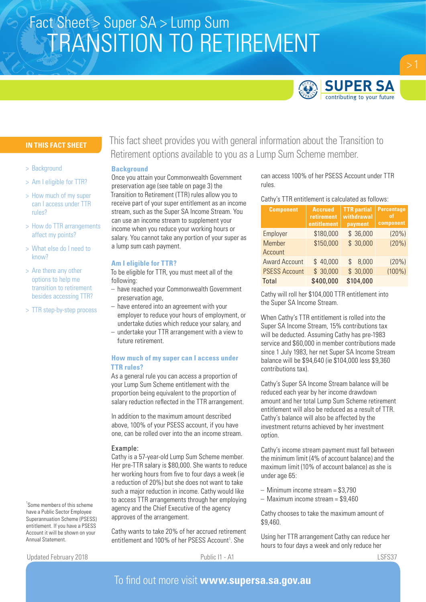# TRANSITION TO RETIREMENT Fact Sheet > Super SA > Lump Sum



# **IN THIS FACT SHEET**

- > Background
- > Am I eligible for TTR?
- > How much of my super can I access under TTR rules?
- > How do TTR arrangements affect my points?
- > What else do I need to know?
- > Are there any other options to help me transition to retirement besides accessing TTR?
- > TTR step-by-step process

This fact sheet provides you with general information about the Transition to Retirement options available to you as a Lump Sum Scheme member.

# **Background**

Once you attain your Commonwealth Government preservation age (see table on page 3) the Transition to Retirement (TTR) rules allow you to receive part of your super entitlement as an income stream, such as the Super SA Income Stream. You can use an income stream to supplement your income when you reduce your working hours or salary. You cannot take any portion of your super as a lump sum cash payment.

#### **Am I eligible for TTR?**

To be eligible for TTR, you must meet all of the following:

- have reached your Commonwealth Government preservation age,
- have entered into an agreement with your employer to reduce your hours of employment, or undertake duties which reduce your salary, and
- undertake your TTR arrangement with a view to future retirement.

# **How much of my super can I access under TTR rules?**

As a general rule you can access a proportion of your Lump Sum Scheme entitlement with the proportion being equivalent to the proportion of salary reduction reflected in the TTR arrangement.

In addition to the maximum amount described above, 100% of your PSESS account, if you have one, can be rolled over into the an income stream.

### Example:

Cathy is a 57-year-old Lump Sum Scheme member. Her pre-TTR salary is \$80,000. She wants to reduce her working hours from five to four days a week (ie a reduction of 20%) but she does not want to take such a major reduction in income. Cathy would like to access TTR arrangements through her employing agency and the Chief Executive of the agency approves of the arrangement.

Cathy wants to take 20% of her accrued retirement entitlement and 100% of her PSESS Account<sup>1</sup>. She

Updated February 2018 **Public I1 - A1** Public I1 - A1 LSFS37

Annual Statement.

1 Some members of this scheme have a Public Sector Employee Superannuation Scheme (PSESS) entitlement. If you have a PSESS Account it will be shown on your

can access 100% of her PSESS Account under TTR rules.

#### Cathy's TTR entitlement is calculated as follows:

| <b>Component</b>     | <b>Accrued</b><br><b>retirement</b><br>entitlement | <b>TTR</b> partial<br>withdrawal<br>payment | <b>Percentage</b><br><sup>of</sup><br>component |
|----------------------|----------------------------------------------------|---------------------------------------------|-------------------------------------------------|
| Employer             | \$180,000                                          | \$36,000                                    | (20%)                                           |
| <b>Member</b>        | \$150,000                                          | \$30,000                                    | (20%)                                           |
| Account              |                                                    |                                             |                                                 |
| <b>Award Account</b> | \$40,000                                           | 8,000<br>S                                  | (20%)                                           |
| <b>PSESS Account</b> | \$30,000                                           | \$30,000                                    | $(100\%)$                                       |
| Total                | \$400,000                                          | \$104,000                                   |                                                 |

Cathy will roll her \$104,000 TTR entitlement into the Super SA Income Stream.

When Cathy's TTR entitlement is rolled into the Super SA Income Stream, 15% contributions tax will be deducted. Assuming Cathy has pre-1983 service and \$60,000 in member contributions made since 1 July 1983, her net Super SA Income Stream balance will be \$94,640 (ie \$104,000 less \$9,360 contributions tax).

Cathy's Super SA Income Stream balance will be reduced each year by her income drawdown amount and her total Lump Sum Scheme retirement entitlement will also be reduced as a result of TTR. Cathy's balance will also be affected by the investment returns achieved by her investment option.

Cathy's income stream payment must fall between the minimum limit (4% of account balance) and the maximum limit (10% of account balance) as she is under age 65:

- Minimum income stream = \$3,790
- Maximum income stream = \$9,460

Cathy chooses to take the maximum amount of \$9,460.

Using her TTR arrangement Cathy can reduce her hours to four days a week and only reduce her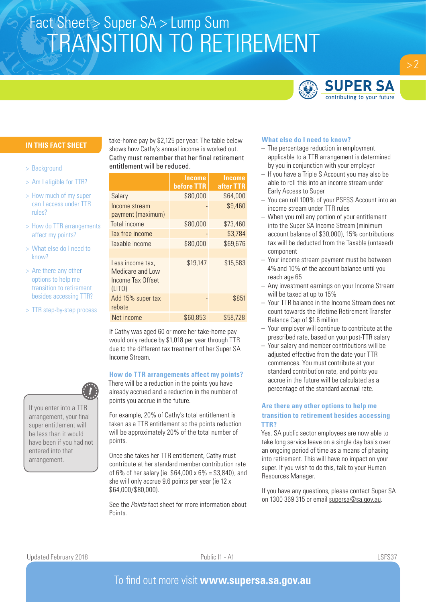# TRANSITION TO RETIREMENT Fact Sheet > Super SA > Lump Sum



# **IN THIS FACT SHEET**

- > Background
- > Am I eligible for TTR?
- > How much of my super can I access under TTR rules?
- > How do TTR arrangements affect my points?
- > What else do I need to know?
- > Are there any other options to help me transition to retirement besides accessing TTR?
- > TTR step-by-step process

If you enter into a TTR arrangement, your final super entitlement will be less than it would

have been if you had not entered into that arrangement.

take-home pay by \$2,125 per year. The table below shows how Cathy's annual income is worked out. Cathy must remember that her final retirement entitlement will be reduced.

|                                                                     | <b>Income</b><br><b>before TTR</b> | Income<br>after TTR |
|---------------------------------------------------------------------|------------------------------------|---------------------|
| Salary                                                              | \$80,000                           | \$64,000            |
| Income stream<br>payment (maximum)                                  |                                    | \$9,460             |
| Total income                                                        | \$80,000                           | \$73,460            |
| Tax free income                                                     |                                    | \$3,784             |
| Taxable income                                                      | \$80,000                           | \$69,676            |
| Less income tax,<br>Medicare and Low<br>Income Tax Offset<br>(LITO) | \$19,147                           | \$15,583            |
| Add 15% super tax<br>rebate                                         |                                    | \$851               |
| Net income                                                          | \$60,853                           | \$58,728            |

If Cathy was aged 60 or more her take-home pay would only reduce by \$1,018 per year through TTR due to the different tax treatment of her Super SA Income Stream.

#### **How do TTR arrangements affect my points?**

There will be a reduction in the points you have already accrued and a reduction in the number of points you accrue in the future.

For example, 20% of Cathy's total entitlement is taken as a TTR entitlement so the points reduction will be approximately 20% of the total number of points.

Once she takes her TTR entitlement, Cathy must contribute at her standard member contribution rate of 6% of her salary (ie  $$64,000 \times 6\% = $3,840$ ), and she will only accrue 9.6 points per year (ie 12 x \$64,000/\$80,000).

See the *Points* fact sheet for more information about Points.

### **What else do I need to know?**

- The percentage reduction in employment applicable to a TTR arrangement is determined by you in conjunction with your employer
- If you have a Triple S Account you may also be able to roll this into an income stream under Early Access to Super
- You can roll 100% of your PSESS Account into an income stream under TTR rules
- When you roll any portion of your entitlement into the Super SA Income Stream (minimum account balance of \$30,000), 15% contributions tax will be deducted from the Taxable (untaxed) component
- Your income stream payment must be between 4%and 10% of the account balance until you reach age 65
- Any investment earnings on your Income Stream will be taxed at up to 15%
- Your TTR balance in the Income Stream does not count towards the lifetime Retirement Transfer Balance Cap of \$1.6 million
- Your employer will continue to contribute at the prescribed rate, based on your post-TTR salary
- Your salary and member contributions will be adjusted effective from the date your TTR commences. You must contribute at your standard contribution rate, and points you accrue in the future will be calculated as a percentage of the standard accrual rate.

# **Are there any other options to help me transition to retirement besides accessing TTR?**

Yes. SA public sector employees are now able to take long service leave on a single day basis over an ongoing period of time as a means of phasing into retirement. This will have no impact on your super. If you wish to do this, talk to your Human Resources Manager.

If you have any questions, please contact Super SA on 1300 369 315 or email supersa@sa.gov.au.

Updated February 2018 **Public I1 - A1** Public I1 - A1 LSFS37

 $> 2$